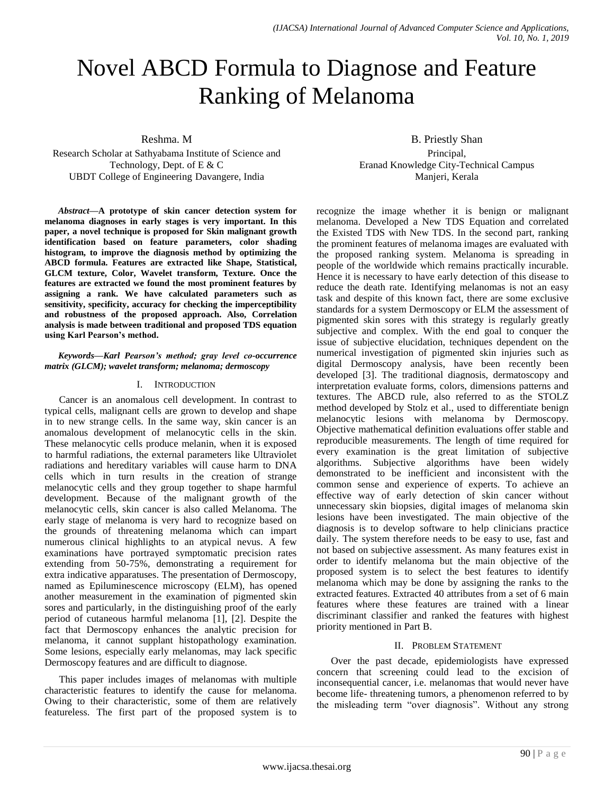# Novel ABCD Formula to Diagnose and Feature Ranking of Melanoma

Reshma. M

Research Scholar at Sathyabama Institute of Science and Technology, Dept. of E & C UBDT College of Engineering Davangere, India

*Abstract***—A prototype of skin cancer detection system for melanoma diagnoses in early stages is very important. In this paper, a novel technique is proposed for Skin malignant growth identification based on feature parameters, color shading histogram, to improve the diagnosis method by optimizing the ABCD formula. Features are extracted like Shape, Statistical, GLCM texture, Color, Wavelet transform, Texture. Once the features are extracted we found the most prominent features by assigning a rank. We have calculated parameters such as sensitivity, specificity, accuracy for checking the imperceptibility and robustness of the proposed approach. Also, Correlation analysis is made between traditional and proposed TDS equation using Karl Pearson's method.**

#### *Keywords—Karl Pearson's method; gray level co-occurrence matrix (GLCM); wavelet transform; melanoma; dermoscopy*

## I. INTRODUCTION

Cancer is an anomalous cell development. In contrast to typical cells, malignant cells are grown to develop and shape in to new strange cells. In the same way, skin cancer is an anomalous development of melanocytic cells in the skin. These melanocytic cells produce melanin, when it is exposed to harmful radiations, the external parameters like Ultraviolet radiations and hereditary variables will cause harm to DNA cells which in turn results in the creation of strange melanocytic cells and they group together to shape harmful development. Because of the malignant growth of the melanocytic cells, skin cancer is also called Melanoma. The early stage of melanoma is very hard to recognize based on the grounds of threatening melanoma which can impart numerous clinical highlights to an atypical nevus. A few examinations have portrayed symptomatic precision rates extending from 50-75%, demonstrating a requirement for extra indicative apparatuses. The presentation of Dermoscopy, named as Epiluminescence microscopy (ELM), has opened another measurement in the examination of pigmented skin sores and particularly, in the distinguishing proof of the early period of cutaneous harmful melanoma [1], [2]. Despite the fact that Dermoscopy enhances the analytic precision for melanoma, it cannot supplant histopathology examination. Some lesions, especially early melanomas, may lack specific Dermoscopy features and are difficult to diagnose.

This paper includes images of melanomas with multiple characteristic features to identify the cause for melanoma. Owing to their characteristic, some of them are relatively featureless. The first part of the proposed system is to

B. Priestly Shan Principal, Eranad Knowledge City-Technical Campus Manjeri, Kerala

recognize the image whether it is benign or malignant melanoma. Developed a New TDS Equation and correlated the Existed TDS with New TDS. In the second part, ranking the prominent features of melanoma images are evaluated with the proposed ranking system. Melanoma is spreading in people of the worldwide which remains practically incurable. Hence it is necessary to have early detection of this disease to reduce the death rate. Identifying melanomas is not an easy task and despite of this known fact, there are some exclusive standards for a system Dermoscopy or ELM the assessment of pigmented skin sores with this strategy is regularly greatly subjective and complex. With the end goal to conquer the issue of subjective elucidation, techniques dependent on the numerical investigation of pigmented skin injuries such as digital Dermoscopy analysis, have been recently been developed [3]. The traditional diagnosis, dermatoscopy and interpretation evaluate forms, colors, dimensions patterns and textures. The ABCD rule, also referred to as the STOLZ method developed by Stolz et al., used to differentiate benign melanocytic lesions with melanoma by Dermoscopy. Objective mathematical definition evaluations offer stable and reproducible measurements. The length of time required for every examination is the great limitation of subjective algorithms. Subjective algorithms have been widely demonstrated to be inefficient and inconsistent with the common sense and experience of experts. To achieve an effective way of early detection of skin cancer without unnecessary skin biopsies, digital images of melanoma skin lesions have been investigated. The main objective of the diagnosis is to develop software to help clinicians practice daily. The system therefore needs to be easy to use, fast and not based on subjective assessment. As many features exist in order to identify melanoma but the main objective of the proposed system is to select the best features to identify melanoma which may be done by assigning the ranks to the extracted features. Extracted 40 attributes from a set of 6 main features where these features are trained with a linear discriminant classifier and ranked the features with highest priority mentioned in Part B.

## II. PROBLEM STATEMENT

Over the past decade, epidemiologists have expressed concern that screening could lead to the excision of inconsequential cancer, i.e. melanomas that would never have become life- threatening tumors, a phenomenon referred to by the misleading term "over diagnosis". Without any strong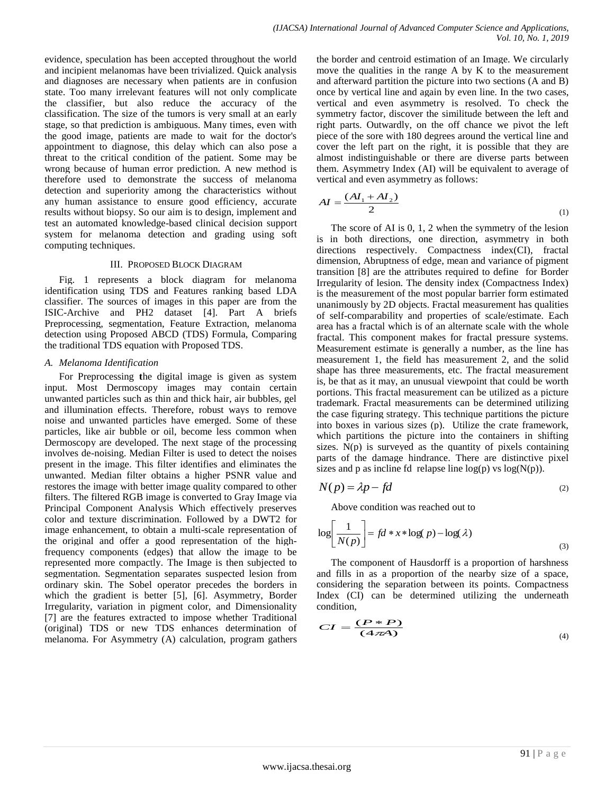evidence, speculation has been accepted throughout the world and incipient melanomas have been trivialized. Quick analysis and diagnoses are necessary when patients are in confusion state. Too many irrelevant features will not only complicate the classifier, but also reduce the accuracy of the classification. The size of the tumors is very small at an early stage, so that prediction is ambiguous. Many times, even with the good image, patients are made to wait for the doctor's appointment to diagnose, this delay which can also pose a threat to the critical condition of the patient. Some may be wrong because of human error prediction. A new method is therefore used to demonstrate the success of melanoma detection and superiority among the characteristics without any human assistance to ensure good efficiency, accurate results without biopsy. So our aim is to design, implement and test an automated knowledge-based clinical decision support system for melanoma detection and grading using soft computing techniques.

#### III. PROPOSED BLOCK DIAGRAM

Fig. 1 represents a block diagram for melanoma identification using TDS and Features ranking based LDA classifier. The sources of images in this paper are from the ISIC-Archive and PH2 dataset [4]. Part A briefs Preprocessing, segmentation, Feature Extraction, melanoma detection using Proposed ABCD (TDS) Formula, Comparing the traditional TDS equation with Proposed TDS.

## *A. Melanoma Identification*

For Preprocessing **t**he digital image is given as system input. Most Dermoscopy images may contain certain unwanted particles such as thin and thick hair, air bubbles, gel and illumination effects. Therefore, robust ways to remove noise and unwanted particles have emerged. Some of these particles, like air bubble or oil, become less common when Dermoscopy are developed. The next stage of the processing involves de-noising. Median Filter is used to detect the noises present in the image. This filter identifies and eliminates the unwanted. Median filter obtains a higher PSNR value and restores the image with better image quality compared to other filters. The filtered RGB image is converted to Gray Image via Principal Component Analysis Which effectively preserves color and texture discrimination. Followed by a DWT2 for image enhancement, to obtain a multi-scale representation of the original and offer a good representation of the highfrequency components (edges) that allow the image to be represented more compactly. The Image is then subjected to segmentation. Segmentation separates suspected lesion from ordinary skin. The Sobel operator precedes the borders in which the gradient is better [5], [6]. Asymmetry, Border Irregularity, variation in pigment color, and Dimensionality [7] are the features extracted to impose whether Traditional (original) TDS or new TDS enhances determination of melanoma. For Asymmetry (A) calculation, program gathers the border and centroid estimation of an Image. We circularly move the qualities in the range A by K to the measurement and afterward partition the picture into two sections (A and B) once by vertical line and again by even line. In the two cases, vertical and even asymmetry is resolved. To check the symmetry factor, discover the similitude between the left and right parts. Outwardly, on the off chance we pivot the left piece of the sore with 180 degrees around the vertical line and cover the left part on the right, it is possible that they are almost indistinguishable or there are diverse parts between them. Asymmetry Index (AI) will be equivalent to average of vertical and even asymmetry as follows:

$$
AI = \frac{(AI_1 + AI_2)}{2} \tag{1}
$$

The score of AI is 0, 1, 2 when the symmetry of the lesion is in both directions, one direction, asymmetry in both directions respectively. Compactness index(CI), fractal dimension, Abruptness of edge, mean and variance of pigment transition [8] are the attributes required to define for Border Irregularity of lesion. The density index (Compactness Index) is the measurement of the most popular barrier form estimated unanimously by 2D objects. Fractal measurement has qualities of self-comparability and properties of scale/estimate. Each area has a fractal which is of an alternate scale with the whole fractal. This component makes for fractal pressure systems. Measurement estimate is generally a number, as the line has measurement 1, the field has measurement 2, and the solid shape has three measurements, etc. The fractal measurement is, be that as it may, an unusual viewpoint that could be worth portions. This fractal measurement can be utilized as a picture trademark. Fractal measurements can be determined utilizing the case figuring strategy. This technique partitions the picture into boxes in various sizes (p). Utilize the crate framework, which partitions the picture into the containers in shifting sizes.  $N(p)$  is surveyed as the quantity of pixels containing parts of the damage hindrance. There are distinctive pixel sizes and p as incline fd relapse line  $log(p)$  vs  $log(N(p))$ .

$$
N(p) = \lambda p - f d \tag{2}
$$

Above condition was reached out to

$$
\log\left[\frac{1}{N(p)}\right] = fd * x * \log(p) - \log(\lambda)
$$
\n(3)

The component of Hausdorff is a proportion of harshness and fills in as a proportion of the nearby size of a space, considering the separation between its points. Compactness Index (CI) can be determined utilizing the underneath condition,

$$
CI = \frac{(P * P)}{(4\pi A)}
$$
\n(4)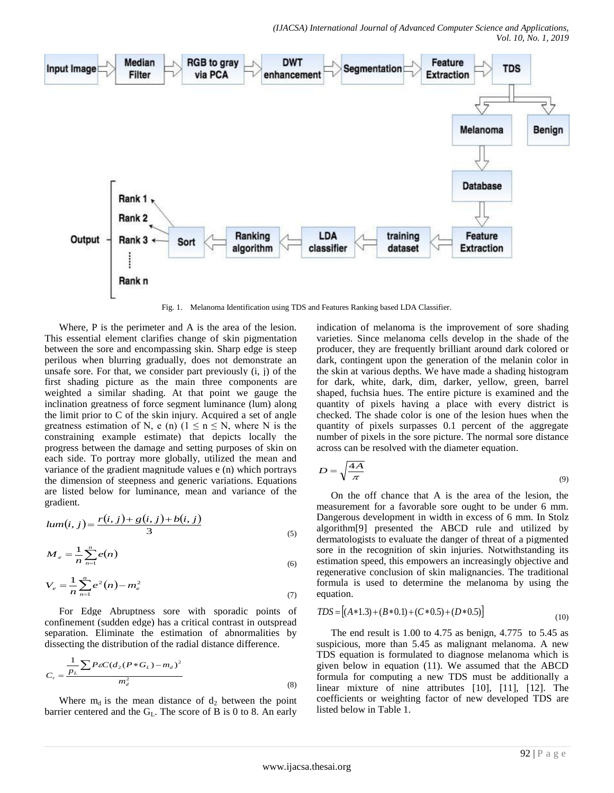*(IJACSA) International Journal of Advanced Computer Science and Applications, Vol. 10, No. 1, 2019*



Fig. 1. Melanoma Identification using TDS and Features Ranking based LDA Classifier.

Where, P is the perimeter and A is the area of the lesion. This essential element clarifies change of skin pigmentation between the sore and encompassing skin. Sharp edge is steep perilous when blurring gradually, does not demonstrate an unsafe sore. For that, we consider part previously (i, j) of the first shading picture as the main three components are weighted a similar shading. At that point we gauge the inclination greatness of force segment luminance (lum) along the limit prior to C of the skin injury. Acquired a set of angle greatness estimation of N, e (n)  $(1 \le n \le N$ , where N is the constraining example estimate) that depicts locally the progress between the damage and setting purposes of skin on each side. To portray more globally, utilized the mean and variance of the gradient magnitude values e (n) which portrays the dimension of steepness and generic variations. Equations are listed below for luminance, mean and variance of the gradient.

$$
lum(i, j) = \frac{r(i, j) + g(i, j) + b(i, j)}{3}
$$
\n(5)

$$
M_e = \frac{1}{n} \sum_{n=1}^{n} e(n)
$$
 (6)

$$
V_e = \frac{1}{n} \sum_{n=1}^{n} e^2(n) - m_e^2
$$
\n(7)

For Edge Abruptness sore with sporadic points of confinement (sudden edge) has a critical contrast in outspread separation. Eliminate the estimation of abnormalities by dissecting the distribution of the radial distance difference.

$$
C_r = \frac{\frac{1}{p_L} \sum P \varepsilon C (d_2 (P * G_L) - m_d)^2}{m_d^2}
$$
\n(8)

Where  $m_d$  is the mean distance of  $d_2$  between the point barrier centered and the  $G_L$ . The score of B is 0 to 8. An early

indication of melanoma is the improvement of sore shading varieties. Since melanoma cells develop in the shade of the producer, they are frequently brilliant around dark colored or dark, contingent upon the generation of the melanin color in the skin at various depths. We have made a shading histogram for dark, white, dark, dim, darker, yellow, green, barrel shaped, fuchsia hues. The entire picture is examined and the quantity of pixels having a place with every district is checked. The shade color is one of the lesion hues when the quantity of pixels surpasses 0.1 percent of the aggregate number of pixels in the sore picture. The normal sore distance across can be resolved with the diameter equation.

$$
D = \sqrt{\frac{4A}{\pi}}
$$
 (9)

On the off chance that A is the area of the lesion, the measurement for a favorable sore ought to be under 6 mm. Dangerous development in width in excess of 6 mm. In Stolz algorithm[9] presented the ABCD rule and utilized by dermatologists to evaluate the danger of threat of a pigmented sore in the recognition of skin injuries. Notwithstanding its estimation speed, this empowers an increasingly objective and regenerative conclusion of skin malignancies. The traditional formula is used to determine the melanoma by using the equation.

$$
TDS = [(A*1.3) + (B*0.1) + (C*0.5) + (D*0.5)]
$$
\n(10)

The end result is 1.00 to 4.75 as benign, 4.775 to 5.45 as suspicious, more than 5.45 as malignant melanoma. A new TDS equation is formulated to diagnose melanoma which is given below in equation (11). We assumed that the ABCD formula for computing a new TDS must be additionally a linear mixture of nine attributes [10], [11], [12]. The coefficients or weighting factor of new developed TDS are listed below in Table 1.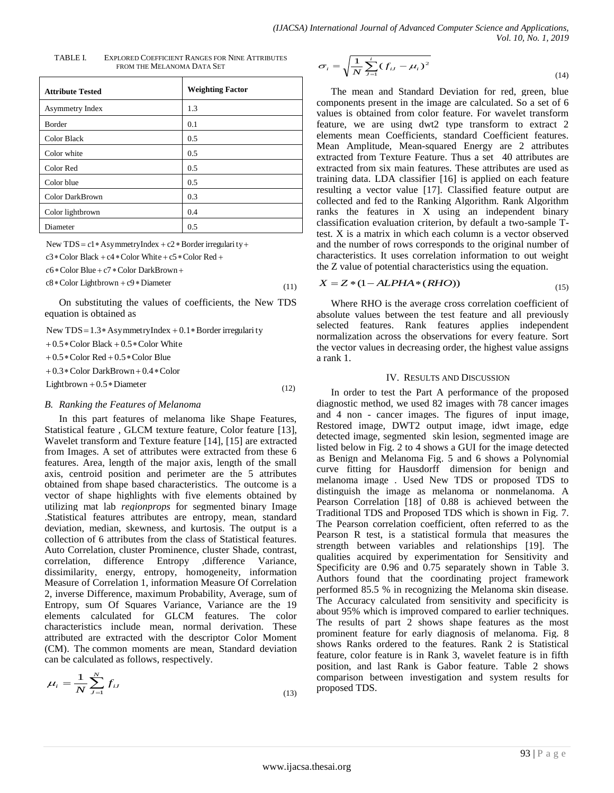| TABLE L | <b>EXPLORED COEFFICIENT RANGES FOR NINE ATTRIBUTES</b> |
|---------|--------------------------------------------------------|
|         | FROM THE MELANOMA DATA SET                             |

| <b>Attribute Tested</b>                                         | <b>Weighting Factor</b> |  |  |  |  |  |
|-----------------------------------------------------------------|-------------------------|--|--|--|--|--|
| Asymmetry Index                                                 | 1.3                     |  |  |  |  |  |
| <b>Border</b>                                                   | 0.1                     |  |  |  |  |  |
| Color Black                                                     | 0.5                     |  |  |  |  |  |
| Color white                                                     | 0.5                     |  |  |  |  |  |
| Color Red                                                       | 0.5                     |  |  |  |  |  |
| Color blue                                                      | 0.5                     |  |  |  |  |  |
| <b>Color DarkBrown</b>                                          | 0.3                     |  |  |  |  |  |
| Color lightbrown                                                | 0.4                     |  |  |  |  |  |
| Diameter                                                        | 0.5                     |  |  |  |  |  |
| New TDS = $c1$ * AsymmetryIndex + $c2$ * Border irregulari ty + |                         |  |  |  |  |  |

 $c3 * Color Black + c4 * Color White + c5 * Color Red +$ 

 $c6 * Color Blue + c7 * Color DarkBrown +$ 

 $c8 * Color Lightbrown + c9 * Diameter$ 

On substituting the values of coefficients, the New TDS equation is obtained as On substituting the variety of coefficients, the Negation is obtained as<br>New TDS =  $1.3 *$  Asymmetry Index +  $0.1 *$  Border irregularity

 $+0.5 * Color Black + 0.5 * Color White$ 

 $+0.5 * Color Red + 0.5 * Color Blue$ 

 $+0.3 * Color DarkBrown + 0.4 * Color$ 

Lightbrown  $+0.5 *$ Diameter

## *B. Ranking the Features of Melanoma*

In this part features of melanoma like Shape Features, Statistical feature , GLCM texture feature, Color feature [13], Wavelet transform and Texture feature [14], [15] are extracted from Images. A set of attributes were extracted from these 6 features. Area, length of the major axis, length of the small axis, centroid position and perimeter are the 5 attributes obtained from shape based characteristics. The outcome is a vector of shape highlights with five elements obtained by utilizing mat lab *regionprops* for segmented binary Image .Statistical features attributes are entropy, mean, standard deviation, median, skewness, and kurtosis. The output is a collection of 6 attributes from the class of Statistical features. Auto Correlation, cluster Prominence, cluster Shade, contrast, correlation, difference Entropy ,difference Variance, dissimilarity, energy, entropy, homogeneity, information Measure of Correlation 1, information Measure Of Correlation 2, inverse Difference, maximum Probability, Average, sum of Entropy, sum Of Squares Variance, Variance are the 19 elements calculated for GLCM features. The color characteristics include mean, normal derivation. These attributed are extracted with the descriptor Color Moment (CM). The common moments are mean, Standard deviation can be calculated as follows, respectively.

$$
\mu_i = \frac{1}{N} \sum_{J=1}^{N} f_{iJ} \tag{13}
$$

$$
\sigma_i = \sqrt{\frac{1}{N} \sum_{j=1}^{i} (f_{iJ} - \mu_i)^2}
$$
\n(14)

The mean and Standard Deviation for red, green, blue components present in the image are calculated. So a set of 6 values is obtained from color feature. For wavelet transform feature, we are using dwt2 type transform to extract 2 elements mean Coefficients, standard Coefficient features. Mean Amplitude, Mean-squared Energy are 2 attributes extracted from Texture Feature. Thus a set 40 attributes are extracted from six main features. These attributes are used as training data. LDA classifier [16] is applied on each feature resulting a vector value [17]. Classified feature output are collected and fed to the Ranking Algorithm. Rank Algorithm ranks the features in X using an independent binary classification evaluation criterion, by default a two-sample Ttest. X is a matrix in which each column is a vector observed and the number of rows corresponds to the original number of characteristics. It uses correlation information to out weight the Z value of potential characteristics using the equation.

$$
X = Z * (1 - ALPHA * (RHO))
$$
\n<sup>(15)</sup>

Where RHO is the average cross correlation coefficient of absolute values between the test feature and all previously selected features. Rank features applies independent normalization across the observations for every feature. Sort the vector values in decreasing order, the highest value assigns a rank 1.

#### IV. RESULTS AND DISCUSSION

In order to test the Part A performance of the proposed diagnostic method, we used 82 images with 78 cancer images and 4 non - cancer images. The figures of input image, Restored image, DWT2 output image, idwt image, edge detected image, segmented skin lesion, segmented image are listed below in Fig. 2 to 4 shows a GUI for the image detected as Benign and Melanoma Fig. 5 and 6 shows a Polynomial curve fitting for Hausdorff dimension for benign and melanoma image . Used New TDS or proposed TDS to distinguish the image as melanoma or nonmelanoma. A Pearson Correlation [18] of 0.88 is achieved between the Traditional TDS and Proposed TDS which is shown in Fig. 7. The Pearson correlation coefficient, often referred to as the Pearson R test, is a statistical formula that measures the strength between variables and relationships [19]. The qualities acquired by experimentation for Sensitivity and Specificity are 0.96 and 0.75 separately shown in Table 3. Authors found that the coordinating project framework performed 85.5 % in recognizing the Melanoma skin disease. The Accuracy calculated from sensitivity and specificity is about 95% which is improved compared to earlier techniques. The results of part 2 shows shape features as the most prominent feature for early diagnosis of melanoma. Fig. 8 shows Ranks ordered to the features. Rank 2 is Statistical feature, color feature is in Rank 3, wavelet feature is in fifth position, and last Rank is Gabor feature. Table 2 shows comparison between investigation and system results for proposed TDS.

(11)

(12)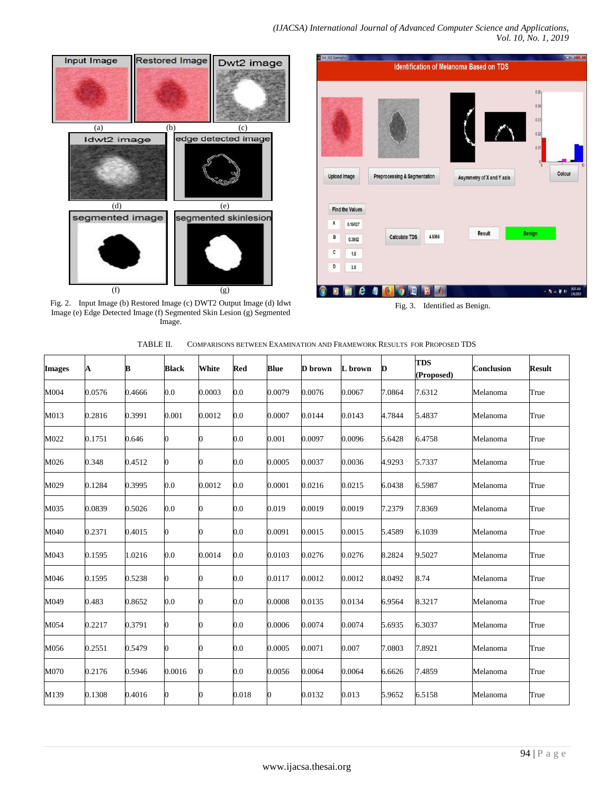

Fig. 2. Input Image (b) Restored Image (c) DWT2 Output Image (d) Idwt Image (e) Edge Detected Image (f) Segmented Skin Lesion (g) Segmented Image.

|   | Stin_GULOpeningFon     |                                         |        | <b>Identification of Melanoma Based on TDS</b> |                                                                     | $-0 - 1$ |
|---|------------------------|-----------------------------------------|--------|------------------------------------------------|---------------------------------------------------------------------|----------|
|   | <b>Upload Image</b>    | <b>Preprocessing &amp; Segmentation</b> |        | Asymmetry of X and Y axis                      | 0.05 <sub>1</sub><br>0.04<br>0.03<br>0.02<br>0.01<br>$0\frac{1}{0}$ | Colour   |
|   |                        |                                         |        |                                                |                                                                     |          |
|   | <b>Find the Values</b> |                                         |        |                                                |                                                                     |          |
| A | 0.15127                |                                         |        |                                                |                                                                     |          |
| В | 0.3852                 | <b>Calculate TDS</b>                    | 4.5365 | <b>Result</b>                                  | <b>Benign</b>                                                       |          |
| C | 1.5                    |                                         |        |                                                |                                                                     |          |

Fig. 3. Identified as Benign.

| TABLE II. | COMPARISONS BETWEEN EXAMINATION AND FRAMEWORK RESULTS FOR PROPOSED TDS |
|-----------|------------------------------------------------------------------------|

| <b>Images</b> | A      | в      | <b>Black</b> | White  | Red     | Blue   | <b>D</b> brown | L brown | D      | <b>TDS</b><br>(Proposed) | <b>Conclusion</b> | <b>Result</b> |
|---------------|--------|--------|--------------|--------|---------|--------|----------------|---------|--------|--------------------------|-------------------|---------------|
| M004          | 0.0576 | 0.4666 | $0.0\,$      | 0.0003 | $0.0\,$ | 0.0079 | 0.0076         | 0.0067  | 7.0864 | 7.6312                   | Melanoma          | True          |
| M013          | 0.2816 | 0.3991 | 0.001        | 0.0012 | $0.0\,$ | 0.0007 | 0.0144         | 0.0143  | 4.7844 | 5.4837                   | Melanoma          | True          |
| M022          | 0.1751 | 0.646  | 0            | 0      | 0.0     | 0.001  | 0.0097         | 0.0096  | 5.6428 | 6.4758                   | Melanoma          | True          |
| M026          | 0.348  | 0.4512 | 0            | 0      | 0.0     | 0.0005 | 0.0037         | 0.0036  | 4.9293 | 5.7337                   | Melanoma          | True          |
| M029          | 0.1284 | 0.3995 | $0.0\,$      | 0.0012 | $0.0\,$ | 0.0001 | 0.0216         | 0.0215  | 6.0438 | 6.5987                   | Melanoma          | True          |
| M035          | 0.0839 | 0.5026 | 0.0          | 0      | 0.0     | 0.019  | 0.0019         | 0.0019  | 7.2379 | 7.8369                   | Melanoma          | True          |
| M040          | 0.2371 | 0.4015 | 0            | 0      | 0.0     | 0.0091 | 0.0015         | 0.0015  | 5.4589 | 6.1039                   | Melanoma          | True          |
| M043          | 0.1595 | 1.0216 | 0.0          | 0.0014 | 0.0     | 0.0103 | 0.0276         | 0.0276  | 8.2824 | 9.5027                   | Melanoma          | True          |
| M046          | 0.1595 | 0.5238 | 0            | 0      | 0.0     | 0.0117 | 0.0012         | 0.0012  | 8.0492 | 8.74                     | Melanoma          | True          |
| M049          | 0.483  | 0.8652 | 0.0          | 0      | 0.0     | 0.0008 | 0.0135         | 0.0134  | 6.9564 | 8.3217                   | Melanoma          | True          |
| M054          | 0.2217 | 0.3791 | 0            | 0      | 0.0     | 0.0006 | 0.0074         | 0.0074  | 5.6935 | 6.3037                   | Melanoma          | True          |
| M056          | 0.2551 | 0.5479 | 0            | 0      | 0.0     | 0.0005 | 0.0071         | 0.007   | 7.0803 | 7.8921                   | Melanoma          | True          |
| M070          | 0.2176 | 0.5946 | 0.0016       | 0      | 0.0     | 0.0056 | 0.0064         | 0.0064  | 6.6626 | 7.4859                   | Melanoma          | True          |
| M139          | 0.1308 | 0.4016 | 0            | 0      | 0.018   | 0      | 0.0132         | 0.013   | 5.9652 | 6.5158                   | Melanoma          | True          |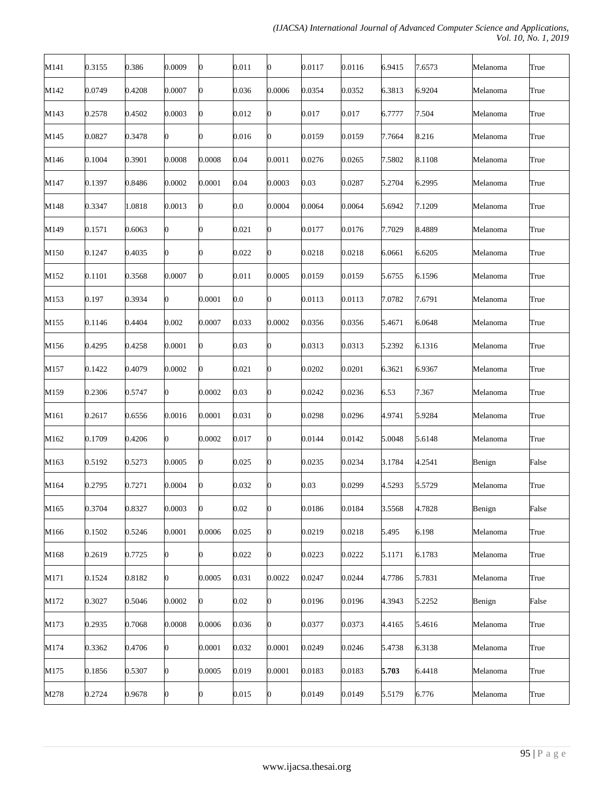| 0.3155 | 0.0009                                                                                                                                                                                                                                                                              |                                                     | 0.011                                                                                                                                                               | 0                                                                                                                                  | 0.0117 | 0.0116                                         |                                                | 7.6573                                                                                                                                                                                                                                                                           | Melanoma                                                                                                                                        | True                                                                                                                                   |
|--------|-------------------------------------------------------------------------------------------------------------------------------------------------------------------------------------------------------------------------------------------------------------------------------------|-----------------------------------------------------|---------------------------------------------------------------------------------------------------------------------------------------------------------------------|------------------------------------------------------------------------------------------------------------------------------------|--------|------------------------------------------------|------------------------------------------------|----------------------------------------------------------------------------------------------------------------------------------------------------------------------------------------------------------------------------------------------------------------------------------|-------------------------------------------------------------------------------------------------------------------------------------------------|----------------------------------------------------------------------------------------------------------------------------------------|
| 0.0749 | 0.0007                                                                                                                                                                                                                                                                              |                                                     | 0.036                                                                                                                                                               | 0.0006                                                                                                                             | 0.0354 | 0.0352                                         |                                                | 6.9204                                                                                                                                                                                                                                                                           | Melanoma                                                                                                                                        | True                                                                                                                                   |
| 0.2578 | 0.0003                                                                                                                                                                                                                                                                              |                                                     | 0.012                                                                                                                                                               | 0                                                                                                                                  | 0.017  | 0.017                                          |                                                | 7.504                                                                                                                                                                                                                                                                            | Melanoma                                                                                                                                        | True                                                                                                                                   |
| 0.0827 | 0                                                                                                                                                                                                                                                                                   | 0                                                   | 0.016                                                                                                                                                               | 0                                                                                                                                  | 0.0159 | 0.0159                                         |                                                |                                                                                                                                                                                                                                                                                  |                                                                                                                                                 | True                                                                                                                                   |
| 0.1004 | 0.0008                                                                                                                                                                                                                                                                              |                                                     |                                                                                                                                                                     | 0.0011                                                                                                                             | 0.0276 | 0.0265                                         |                                                |                                                                                                                                                                                                                                                                                  | Melanoma                                                                                                                                        | True                                                                                                                                   |
| 0.1397 | 0.0002                                                                                                                                                                                                                                                                              |                                                     |                                                                                                                                                                     | 0.0003                                                                                                                             | 0.03   | 0.0287                                         |                                                |                                                                                                                                                                                                                                                                                  |                                                                                                                                                 | True                                                                                                                                   |
| 0.3347 |                                                                                                                                                                                                                                                                                     |                                                     |                                                                                                                                                                     | 0.0004                                                                                                                             | 0.0064 |                                                |                                                | 7.1209                                                                                                                                                                                                                                                                           |                                                                                                                                                 | True                                                                                                                                   |
| 0.1571 | 0                                                                                                                                                                                                                                                                                   | 0                                                   | 0.021                                                                                                                                                               | 0                                                                                                                                  | 0.0177 | 0.0176                                         |                                                |                                                                                                                                                                                                                                                                                  |                                                                                                                                                 | True                                                                                                                                   |
| 0.1247 | 0                                                                                                                                                                                                                                                                                   |                                                     |                                                                                                                                                                     | 0                                                                                                                                  |        | 0.0218                                         |                                                | 6.6205                                                                                                                                                                                                                                                                           |                                                                                                                                                 | True                                                                                                                                   |
| 0.1101 | 0.0007                                                                                                                                                                                                                                                                              |                                                     | 0.011                                                                                                                                                               | 0.0005                                                                                                                             | 0.0159 | 0.0159                                         |                                                | 6.1596                                                                                                                                                                                                                                                                           | Melanoma                                                                                                                                        | True                                                                                                                                   |
| 0.197  |                                                                                                                                                                                                                                                                                     |                                                     |                                                                                                                                                                     | 0                                                                                                                                  | 0.0113 | 0.0113                                         |                                                | 7.6791                                                                                                                                                                                                                                                                           | Melanoma                                                                                                                                        | True                                                                                                                                   |
| 0.1146 | 0.002                                                                                                                                                                                                                                                                               |                                                     | 0.033                                                                                                                                                               | 0.0002                                                                                                                             | 0.0356 | 0.0356                                         |                                                | 6.0648                                                                                                                                                                                                                                                                           | Melanoma                                                                                                                                        | True                                                                                                                                   |
| 0.4295 | 0.0001                                                                                                                                                                                                                                                                              |                                                     |                                                                                                                                                                     | 0                                                                                                                                  | 0.0313 | 0.0313                                         |                                                |                                                                                                                                                                                                                                                                                  | Melanoma                                                                                                                                        | True                                                                                                                                   |
| 0.1422 |                                                                                                                                                                                                                                                                                     |                                                     | 0.021                                                                                                                                                               | 0                                                                                                                                  | 0.0202 | 0.0201                                         |                                                | 6.9367                                                                                                                                                                                                                                                                           | Melanoma                                                                                                                                        | True                                                                                                                                   |
| 0.2306 | 0                                                                                                                                                                                                                                                                                   | 0.0002                                              | 0.03                                                                                                                                                                | 0                                                                                                                                  | 0.0242 | 0.0236                                         |                                                | 7.367                                                                                                                                                                                                                                                                            |                                                                                                                                                 | True                                                                                                                                   |
| 0.2617 | 0.0016                                                                                                                                                                                                                                                                              | 0.0001                                              | 0.031                                                                                                                                                               | 0                                                                                                                                  | 0.0298 | 0.0296                                         |                                                | 5.9284                                                                                                                                                                                                                                                                           | Melanoma                                                                                                                                        | True                                                                                                                                   |
| 0.1709 | 0                                                                                                                                                                                                                                                                                   |                                                     | 0.017                                                                                                                                                               | 0                                                                                                                                  | 0.0144 | 0.0142                                         |                                                |                                                                                                                                                                                                                                                                                  | Melanoma                                                                                                                                        | True                                                                                                                                   |
| 0.5192 | 0.0005                                                                                                                                                                                                                                                                              | 0                                                   | 0.025                                                                                                                                                               | 0                                                                                                                                  | 0.0235 | 0.0234                                         |                                                | 4.2541                                                                                                                                                                                                                                                                           |                                                                                                                                                 | False                                                                                                                                  |
| 0.2795 | 0.0004                                                                                                                                                                                                                                                                              | 0                                                   |                                                                                                                                                                     | O                                                                                                                                  | 0.03   | 0.0299                                         |                                                |                                                                                                                                                                                                                                                                                  | Melanoma                                                                                                                                        | True                                                                                                                                   |
| 0.3704 |                                                                                                                                                                                                                                                                                     |                                                     |                                                                                                                                                                     | 0                                                                                                                                  |        |                                                |                                                |                                                                                                                                                                                                                                                                                  |                                                                                                                                                 | False                                                                                                                                  |
| 0.1502 |                                                                                                                                                                                                                                                                                     |                                                     |                                                                                                                                                                     | 0                                                                                                                                  |        |                                                |                                                |                                                                                                                                                                                                                                                                                  |                                                                                                                                                 | True                                                                                                                                   |
| 0.2619 |                                                                                                                                                                                                                                                                                     |                                                     |                                                                                                                                                                     | 0                                                                                                                                  |        |                                                |                                                |                                                                                                                                                                                                                                                                                  |                                                                                                                                                 | True                                                                                                                                   |
| 0.1524 | 0                                                                                                                                                                                                                                                                                   |                                                     |                                                                                                                                                                     | 0.0022                                                                                                                             | 0.0247 | 0.0244                                         |                                                |                                                                                                                                                                                                                                                                                  | Melanoma                                                                                                                                        | True                                                                                                                                   |
| 0.3027 | 0.0002                                                                                                                                                                                                                                                                              |                                                     |                                                                                                                                                                     | 0                                                                                                                                  | 0.0196 | 0.0196                                         |                                                |                                                                                                                                                                                                                                                                                  |                                                                                                                                                 | False                                                                                                                                  |
| 0.2935 | 0.0008                                                                                                                                                                                                                                                                              |                                                     | 0.036                                                                                                                                                               | 0                                                                                                                                  | 0.0377 | 0.0373                                         |                                                |                                                                                                                                                                                                                                                                                  | Melanoma                                                                                                                                        | True                                                                                                                                   |
| 0.3362 | 0                                                                                                                                                                                                                                                                                   |                                                     |                                                                                                                                                                     | 0.0001                                                                                                                             | 0.0249 | 0.0246                                         |                                                |                                                                                                                                                                                                                                                                                  | Melanoma                                                                                                                                        | True                                                                                                                                   |
| 0.1856 | 0                                                                                                                                                                                                                                                                                   |                                                     |                                                                                                                                                                     | 0.0001                                                                                                                             | 0.0183 | 0.0183                                         |                                                | 6.4418                                                                                                                                                                                                                                                                           | Melanoma                                                                                                                                        | True                                                                                                                                   |
| 0.2724 |                                                                                                                                                                                                                                                                                     |                                                     |                                                                                                                                                                     | 0                                                                                                                                  |        |                                                |                                                |                                                                                                                                                                                                                                                                                  |                                                                                                                                                 | True                                                                                                                                   |
|        | 0.386<br>0.4208<br>0.4502<br>0.3478<br>0.3901<br>0.8486<br>1.0818<br>0.6063<br>0.4035<br>0.3568<br>0.3934<br>0.4404<br>0.4258<br>0.4079<br>0.5747<br>0.6556<br>0.4206<br>0.5273<br>0.7271<br>0.8327<br>0.5246<br>0.7725<br>0.8182<br>0.5046<br>0.7068<br>0.4706<br>0.5307<br>0.9678 | 0.0013<br>0<br>0.0002<br>0.0003<br>0.0001<br>0<br>0 | Ю<br>0<br>0<br>0.0008<br>0.0001<br>0<br>0<br>0<br>0.0001<br>0.0007<br>0<br>0<br>0.0002<br>$\bf{0}$<br>0.0006<br>0<br>0.0005<br>0<br>0.0006<br>0.0001<br>0.0005<br>0 | 0.04<br>0.04<br>$0.0\,$<br>0.022<br>$0.0\,$<br>0.03<br>0.032<br>0.02<br>0.025<br>0.022<br>0.031<br>0.02<br>0.032<br>0.019<br>0.015 |        | 0.0218<br>0.0186<br>0.0219<br>0.0223<br>0.0149 | 0.0064<br>0.0184<br>0.0218<br>0.0222<br>0.0149 | 6.9415<br>6.3813<br>6.7777<br>7.7664<br>7.5802<br>5.2704<br>5.6942<br>7.7029<br>6.0661<br>5.6755<br>7.0782<br>5.4671<br>5.2392<br>6.3621<br>6.53<br>4.9741<br>5.0048<br>3.1784<br>4.5293<br>3.5568<br>5.495<br>5.1171<br>4.7786<br>4.3943<br>4.4165<br>5.4738<br>5.703<br>5.5179 | 8.216<br>8.1108<br>6.2995<br>8.4889<br>6.1316<br>5.6148<br>5.5729<br>4.7828<br>6.198<br>6.1783<br>5.7831<br>5.2252<br>5.4616<br>6.3138<br>6.776 | Melanoma<br>Melanoma<br>Melanoma<br>Melanoma<br>Melanoma<br>Melanoma<br>Benign<br>Benign<br>Melanoma<br>Melanoma<br>Benign<br>Melanoma |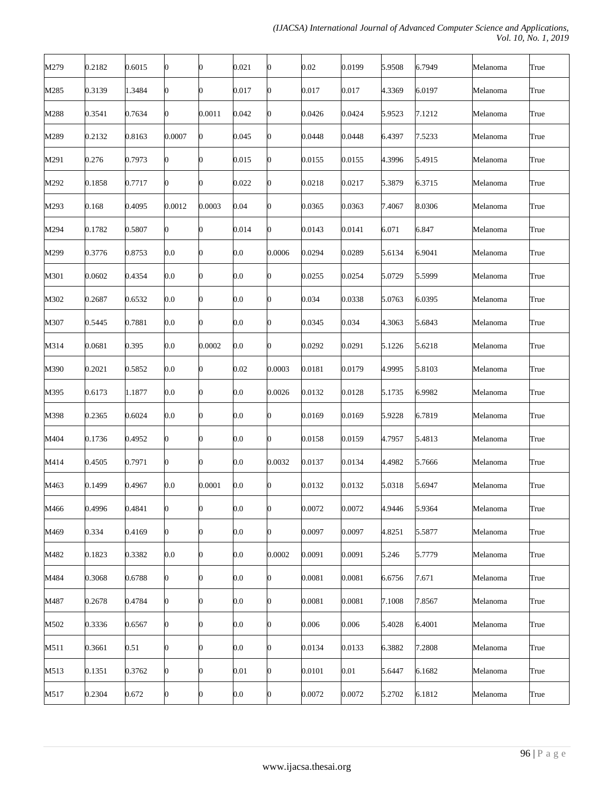| M279 | 0.2182 | 0.6015 | 0                | 0        | 0.021   | 0      | 0.02   | 0.0199 | 5.9508 | 6.7949 | Melanoma | True |
|------|--------|--------|------------------|----------|---------|--------|--------|--------|--------|--------|----------|------|
| M285 | 0.3139 | 1.3484 | 0                | 0        | 0.017   | 0      | 0.017  | 0.017  | 4.3369 | 6.0197 | Melanoma | True |
| M288 | 0.3541 | 0.7634 | 0                | 0.0011   | 0.042   | 0      | 0.0426 | 0.0424 | 5.9523 | 7.1212 | Melanoma | True |
| M289 | 0.2132 | 0.8163 | 0.0007           | 0        | 0.045   | 0      | 0.0448 | 0.0448 | 6.4397 | 7.5233 | Melanoma | True |
| M291 | 0.276  | 0.7973 |                  | 0        | 0.015   | 0      | 0.0155 | 0.0155 | 4.3996 | 5.4915 | Melanoma | True |
| M292 | 0.1858 | 0.7717 | 0                | 0        | 0.022   | 0      | 0.0218 | 0.0217 | 5.3879 | 6.3715 | Melanoma | True |
| M293 | 0.168  | 0.4095 | 0.0012           | 0.0003   | 0.04    | 0      | 0.0365 | 0.0363 | 7.4067 | 8.0306 | Melanoma | True |
| M294 | 0.1782 | 0.5807 | 0                | 0        | 0.014   | 0      | 0.0143 | 0.0141 | 6.071  | 6.847  | Melanoma | True |
| M299 | 0.3776 | 0.8753 | $0.0\,$          | 0        | 0.0     | 0.0006 | 0.0294 | 0.0289 | 5.6134 | 6.9041 | Melanoma | True |
| M301 | 0.0602 | 0.4354 | $0.0\,$          | 0        | 0.0     | 0      | 0.0255 | 0.0254 | 5.0729 | 5.5999 | Melanoma | True |
| M302 | 0.2687 | 0.6532 | $0.0\,$          | 0        | 0.0     | 0      | 0.034  | 0.0338 | 5.0763 | 6.0395 | Melanoma | True |
| M307 | 0.5445 | 0.7881 | $0.0\,$          | 0        | 0.0     | 0      | 0.0345 | 0.034  | 4.3063 | 5.6843 | Melanoma | True |
| M314 | 0.0681 | 0.395  | 0.0              | 0.0002   | 0.0     | 0      | 0.0292 | 0.0291 | 5.1226 | 5.6218 | Melanoma | True |
| M390 | 0.2021 | 0.5852 | $0.0\,$          | 0        | 0.02    | 0.0003 | 0.0181 | 0.0179 | 4.9995 | 5.8103 | Melanoma | True |
| M395 | 0.6173 | 1.1877 | 0.0              | 0        | 0.0     | 0.0026 | 0.0132 | 0.0128 | 5.1735 | 6.9982 | Melanoma | True |
| M398 | 0.2365 | 0.6024 | 0.0              | 0        | 0.0     | 0      | 0.0169 | 0.0169 | 5.9228 | 6.7819 | Melanoma | True |
| M404 | 0.1736 | 0.4952 | 0                | 0        | $0.0\,$ | 0      | 0.0158 | 0.0159 | 4.7957 | 5.4813 | Melanoma | True |
| M414 | 0.4505 | 0.7971 | 0                | 0        | 0.0     | 0.0032 | 0.0137 | 0.0134 | 4.4982 | 5.7666 | Melanoma | True |
| M463 | 0.1499 | 0.4967 | $0.0\,$          | 0.0001   | 0.0     |        | 0.0132 | 0.0132 | 5.0318 | 5.6947 | Melanoma | True |
| M466 | 0.4996 | 0.4841 | $\boldsymbol{0}$ | $\bf{0}$ | 0.0     | 0      | 0.0072 | 0.0072 | 4.9446 | 5.9364 | Melanoma | True |
| M469 | 0.334  | 0.4169 | 0                | 0        | $0.0\,$ | 0      | 0.0097 | 0.0097 | 4.8251 | 5.5877 | Melanoma | True |
| M482 | 0.1823 | 0.3382 | 0.0              | 0        | 0.0     | 0.0002 | 0.0091 | 0.0091 | 5.246  | 5.7779 | Melanoma | True |
| M484 | 0.3068 | 0.6788 | 0                | 0        | 0.0     | 0      | 0.0081 | 0.0081 | 6.6756 | 7.671  | Melanoma | True |
| M487 | 0.2678 | 0.4784 | 0                | 0        | 0.0     | 0      | 0.0081 | 0.0081 | 7.1008 | 7.8567 | Melanoma | True |
| M502 | 0.3336 | 0.6567 | 0                | 0        | 0.0     | 0      | 0.006  | 0.006  | 5.4028 | 6.4001 | Melanoma | True |
| M511 | 0.3661 | 0.51   | 0                | 0        | 0.0     | 0      | 0.0134 | 0.0133 | 6.3882 | 7.2808 | Melanoma | True |
| M513 | 0.1351 | 0.3762 | 0                | 0        | 0.01    | 0      | 0.0101 | 0.01   | 5.6447 | 6.1682 | Melanoma | True |
| M517 | 0.2304 | 0.672  | 0                | 0        | $0.0\,$ | 0      | 0.0072 | 0.0072 | 5.2702 | 6.1812 | Melanoma | True |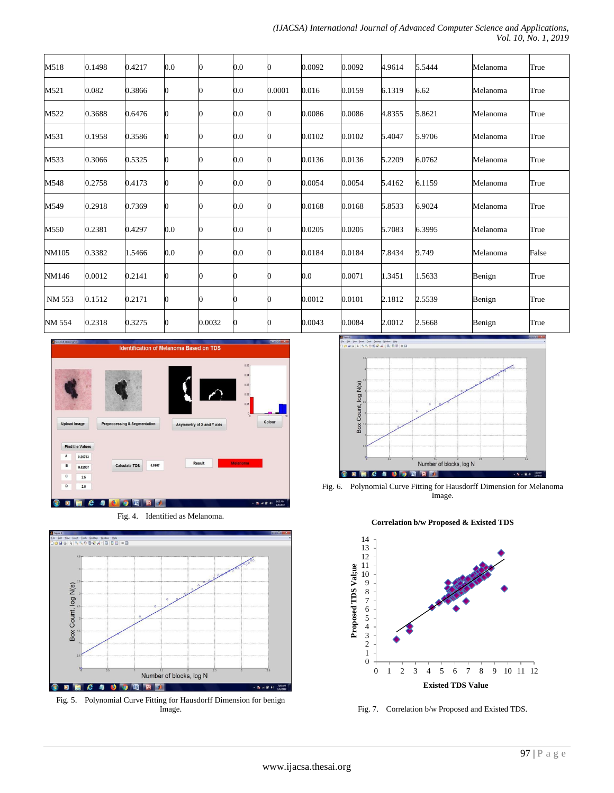| M518   | 0.1498 | 0.4217 | 0.0 | 0      | 0.0 | 0      | 0.0092 | 0.0092 | 4.9614 | 5.5444 | Melanoma | True  |
|--------|--------|--------|-----|--------|-----|--------|--------|--------|--------|--------|----------|-------|
| M521   | 0.082  | 0.3866 | 0   | 0      | 0.0 | 0.0001 | 0.016  | 0.0159 | 6.1319 | 6.62   | Melanoma | True  |
| M522   | 0.3688 | 0.6476 | 0   | 0      | 0.0 | 0      | 0.0086 | 0.0086 | 4.8355 | 5.8621 | Melanoma | True  |
| M531   | 0.1958 | 0.3586 | 0   | 0      | 0.0 | 0      | 0.0102 | 0.0102 | 5.4047 | 5.9706 | Melanoma | True  |
| M533   | 0.3066 | 0.5325 | 0   |        | 0.0 | 0      | 0.0136 | 0.0136 | 5.2209 | 6.0762 | Melanoma | True  |
| M548   | 0.2758 | 0.4173 | 0   | 0      | 0.0 | Ω      | 0.0054 | 0.0054 | 5.4162 | 6.1159 | Melanoma | True  |
| M549   | 0.2918 | 0.7369 | 0   | 0      | 0.0 |        | 0.0168 | 0.0168 | 5.8533 | 6.9024 | Melanoma | True  |
| M550   | 0.2381 | 0.4297 | 0.0 | 0      | 0.0 |        | 0.0205 | 0.0205 | 5.7083 | 6.3995 | Melanoma | True  |
| NM105  | 0.3382 | 1.5466 | 0.0 | 0      | 0.0 | 0      | 0.0184 | 0.0184 | 7.8434 | 9.749  | Melanoma | False |
| NM146  | 0.0012 | 0.2141 | Ю   | 0      |     |        | 0.0    | 0.0071 | 1.3451 | 1.5633 | Benign   | True  |
| NM 553 | 0.1512 | 0.2171 | 0   | 0      |     |        | 0.0012 | 0.0101 | 2.1812 | 2.5539 | Benign   | True  |
| NM 554 | 0.2318 | 0.3275 | Ю   | 0.0032 |     |        | 0.0043 | 0.0084 | 2.0012 | 2.5668 | Benign   | True  |







Fig. 5. Polynomial Curve Fitting for Hausdorff Dimension for benign Image.







Fig. 7. Correlation b/w Proposed and Existed TDS.